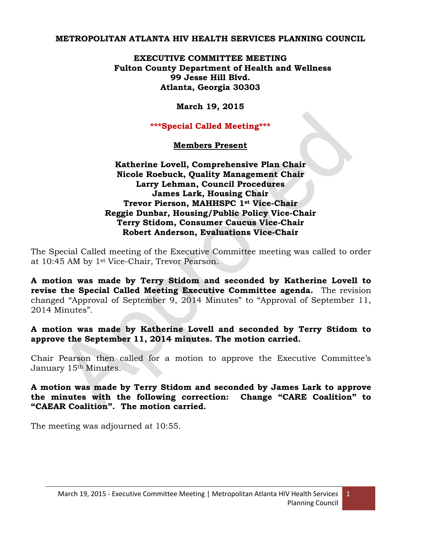#### **METROPOLITAN ATLANTA HIV HEALTH SERVICES PLANNING COUNCIL**

## **EXECUTIVE COMMITTEE MEETING Fulton County Department of Health and Wellness 99 Jesse Hill Blvd. Atlanta, Georgia 30303**

# **March 19, 2015**

## **\*\*\*Special Called Meeting\*\*\***

# **Members Present**

# **Katherine Lovell, Comprehensive Plan Chair Nicole Roebuck, Quality Management Chair Larry Lehman, Council Procedures James Lark, Housing Chair Trevor Pierson, MAHHSPC 1st Vice-Chair Reggie Dunbar, Housing/Public Policy Vice-Chair Terry Stidom, Consumer Caucus Vice-Chair Robert Anderson, Evaluations Vice-Chair**

The Special Called meeting of the Executive Committee meeting was called to order at 10:45 AM by 1st Vice-Chair, Trevor Pearson.

**A motion was made by Terry Stidom and seconded by Katherine Lovell to revise the Special Called Meeting Executive Committee agenda.** The revision changed "Approval of September 9, 2014 Minutes" to "Approval of September 11, 2014 Minutes".

#### **A motion was made by Katherine Lovell and seconded by Terry Stidom to approve the September 11, 2014 minutes. The motion carried.**

Chair Pearson then called for a motion to approve the Executive Committee's January 15th Minutes.

**A motion was made by Terry Stidom and seconded by James Lark to approve the minutes with the following correction: Change "CARE Coalition" to "CAEAR Coalition". The motion carried.**

The meeting was adjourned at 10:55.